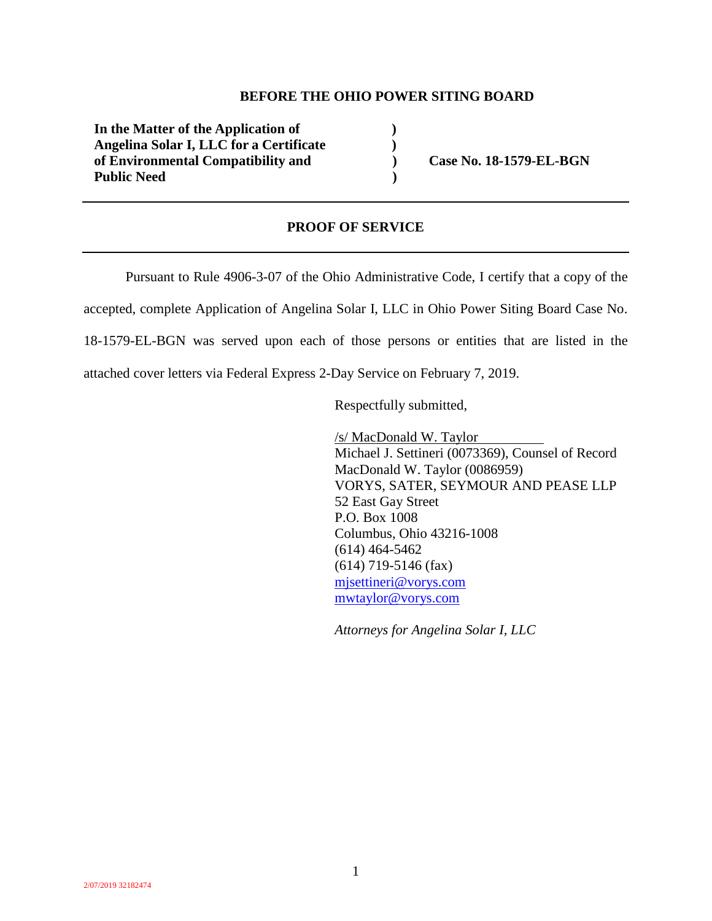#### **BEFORE THE OHIO POWER SITING BOARD**

**In the Matter of the Application of ) Angelina Solar I, LLC for a Certificate ) of Environmental Compatibility and ) Case No. 18-1579-EL-BGN**  Public Need **(a)** *Public Need* (b)

### **PROOF OF SERVICE**

Pursuant to Rule 4906-3-07 of the Ohio Administrative Code, I certify that a copy of the

accepted, complete Application of Angelina Solar I, LLC in Ohio Power Siting Board Case No.

18-1579-EL-BGN was served upon each of those persons or entities that are listed in the

attached cover letters via Federal Express 2-Day Service on February 7, 2019.

Respectfully submitted,

/s/ MacDonald W. Taylor Michael J. Settineri (0073369), Counsel of Record MacDonald W. Taylor (0086959) VORYS, SATER, SEYMOUR AND PEASE LLP 52 East Gay Street P.O. Box 1008 Columbus, Ohio 43216-1008 (614) 464-5462 (614) 719-5146 (fax) mjsettineri@vorys.com mwtaylor@vorys.com

*Attorneys for Angelina Solar I, LLC*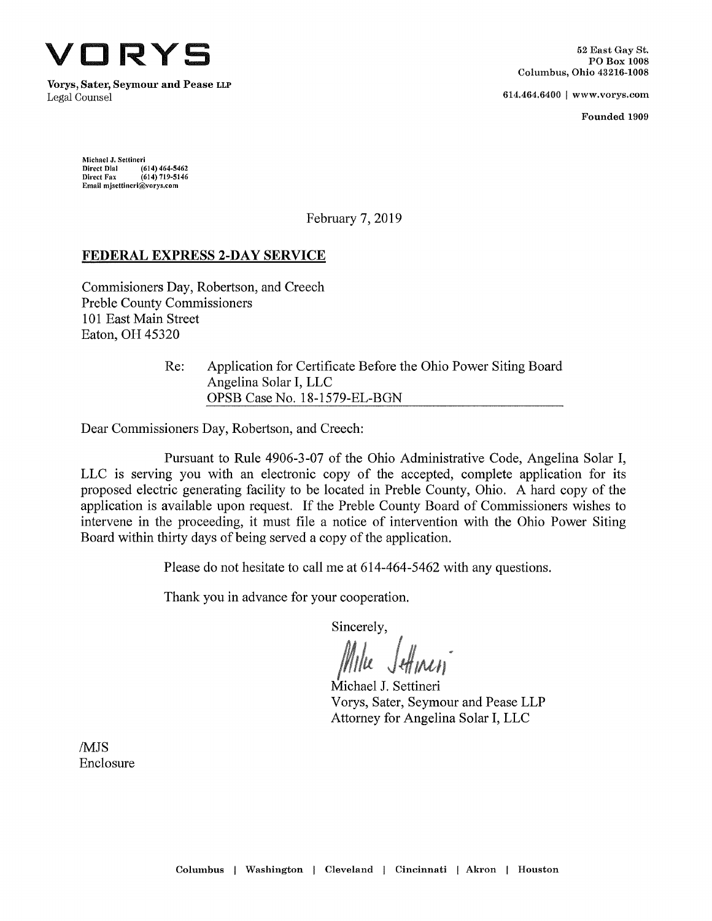

Vorys, Sater, Seymour and Pease llp Legal Counsel **614.464.6400** [www.vorys.com](http://www.vorys.com)

Founded 1909

Michael J. Settinerl Direct Dial Direct Fax Email [mjsettlnerl@vorys.com](mailto:mjsettlnerl@vorys.com) (614)464-5462  $(614) 719 - 5146$ 

February 7, 2019

### **FEDERAL EXPRESS 2-DAY SERVICE**

Commisioners Day, Robertson, and Creech Preble County Commissioners 101 East Main Street Eaton, OH 45320

> Application for Certificate Before the Ohio Power Siting Board Angelina Solar I, EEC OPSB Case No. 18-1579-EL-BGN Re:

Dear Commissioners Day, Robertson, and Creech:

Pursuant to Rule 4906-3-07 of the Ohio Administrative Code, Angelina Solar I, EEC is serving you with an electronic copy of the accepted, complete application for its proposed electric generating facility to be located in Preble County, Ohio. A hard copy of the application is available upon request. If the Prehle County Board of Commissioners wishes to intervene in the proceeding, it must file a notice of intervention with the Ohio Power Siting Board within thirty days of being served a copy of the application.

Please do not hesitate to call me at 614-464-5462 with any questions.

Thank you in advance for your cooperation.

Sincerely,

Michael J. Settineri Vorys, Sater, Seymour and Pease LLP Attorney for Angelina Solar I, LLC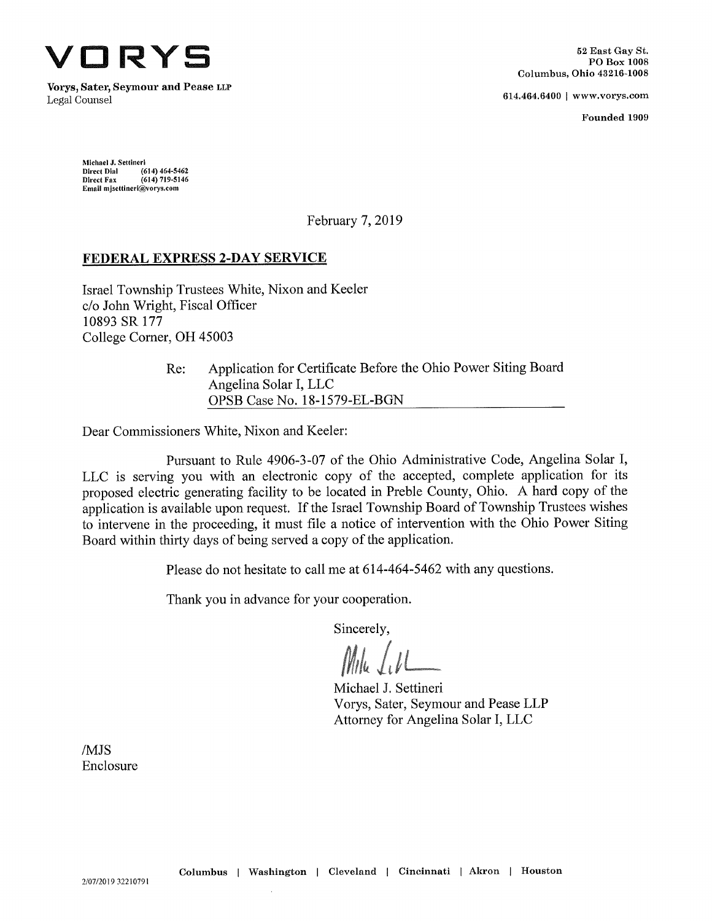

**Vorys, Sater, Seymour and Pease llp**

614.464.6400 | [www.vorys.com](http://www.vorys.com)

Founded 1909

Michael J. Settinerl Direct Dial Direct Fax Email [mjsettlnerl@vorys.com](mailto:mjsettlnerl@vorys.com) (614) 464-5462  $(614) 719 - 5146$ 

February 7, 2019

#### **FEDERAL EXPRESS 2-DAY SERVICE**

Israel Township Trustees White, Nixon and Keeler c/o John Wright, Fiscal Officer 10893 SR 177 College Comer, OH 45003

> Application for Certificate Before the Ohio Power Siting Board Angelina Solar I, LLC OPSB Case No. 18-1579-EL-BGN Re:

Dear Commissioners White, Nixon and Keeler:

Pursuant to Rule 4906-3-07 of the Ohio Administrative Code, Angelina Solar I, LLC is serving you with an electronic copy of the accepted, complete application for its proposed electric generating facility to be located in Preble County, Ohio. A hard copy of the application is available upon request. If the Israel Township Board of Township Trustees wishes to intervene in the proceeding, it must file a notice of intervention with the Ohio Power Siting Board within thirty days of being served a copy of the application.

Please do not hesitate to call me at 614-464-5462 with any questions.

Thank you in advance for your cooperation.

Sincerely,

Michael J. Settineri Vorys, Sater, Seymour and Pease LLP Attorney for Angelina Solar I, LLC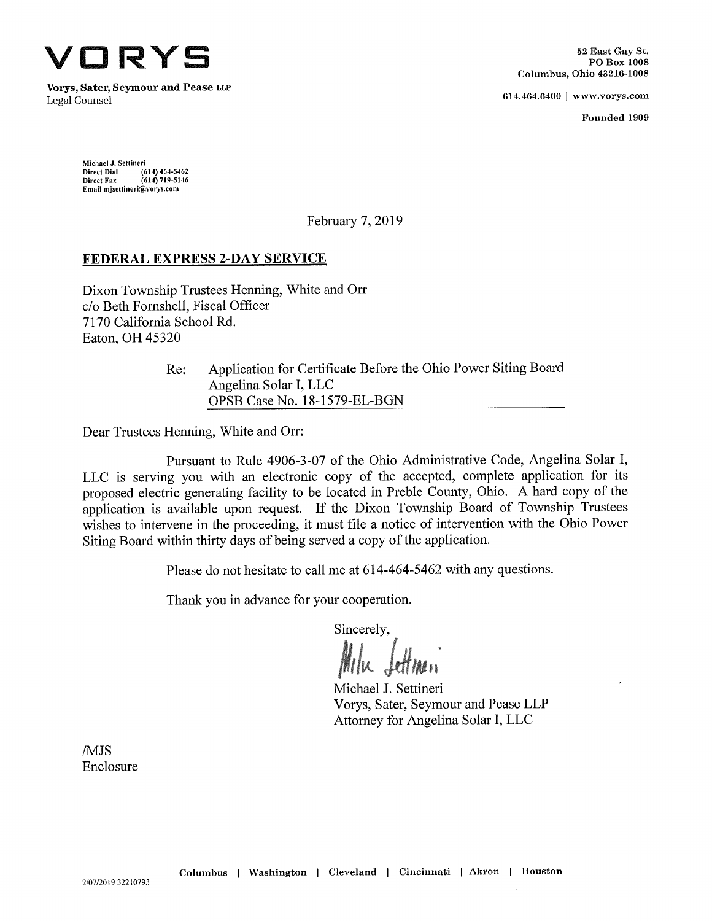

Vorys, Sater, Seymour and Pease lip Legal Counsel 614.464.6400 <sup>|</sup> [www.vorys.com](http://www.vorys.com)

Founded 1909

Michael J. Settineri Direct Dial Direct Fax Email [mJsettineri@vorys.com](mailto:mJsettineri@vorys.com) (614) 464-5462 (614)719-5146

February 7, 2019

# **FEDERAL EXPRESS 2-DAY SERVICE**

Dixon Township Trustees Henning, White and Orr c/o Beth Fornshell, Fiscal Officer 7170 California School Rd. Eaton, OH 45320

> Application for Certificate Before the Ohio Power Siting Board Angelina Solar I, LLC OPSB Case No. 18-1579-EL-BGN Re:

Dear Trustees Henning, White and Orr:

Pursuant to Rule 4906-3-07 of the Ohio Administrative Code, Angelina Solar I, EEC is serving you with an electronic copy of the accepted, complete application for its proposed electric generating facility to be located in Preble County, Ohio. A hard copy of the application is available upon request. If the Dixon Township Board of Township Trustees wishes to intervene in the proceeding, it must file a notice of intervention with the Ohio Power Siting Board within thirty days of being served a copy of the application.

Please do not hesitate to call me at 614-464-5462 with any questions.

Thank you in advance for your cooperation.

Sincerely,

**l/Un**

Michael J. Settineri Vorys, Sater, Seymour and Pease LLP Attorney for Angelina Solar I, EEC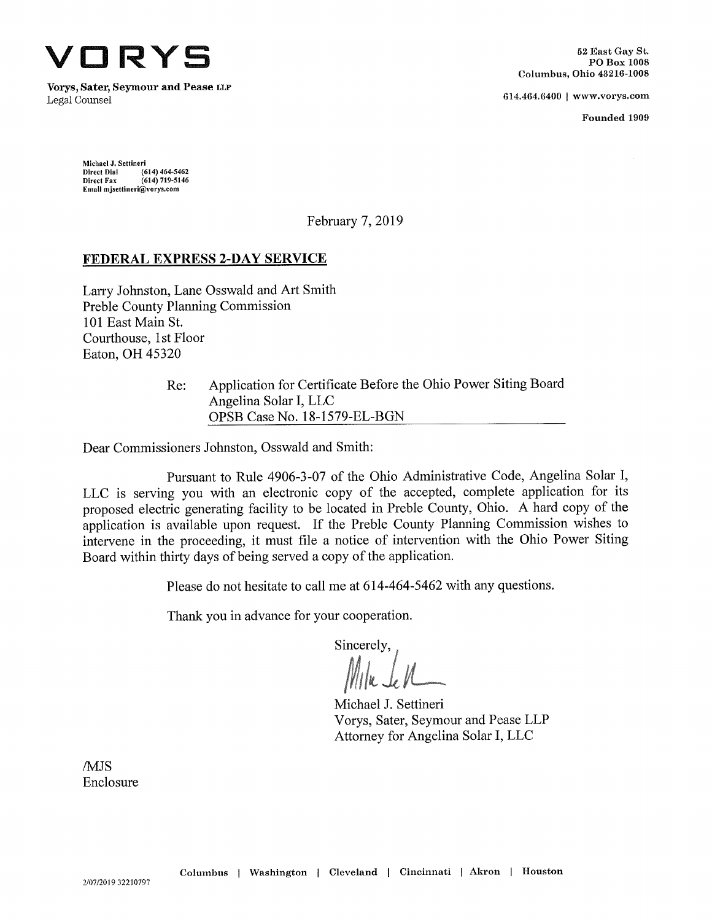

**Vorys, Sater, Seymour and Pease** LiLP Legal Counsel 614.464.6400 <sup>|</sup> [www.vorys.com](http://www.vorys.com)

Founded 1909

Michael J. Settineri Direct Dial Direct Fax Email [mjsettinerl@vorys.com](mailto:mjsettinerl@vorys.com) (614) 464-5462 (614)719-5146

February 7, 2019

# **FEDERAL EXPRESS 2-DAY SERVICE**

Larry Johnston, Lane Osswald and Art Smith Preble County Planning Commission 101 East Main St. Courthouse, <sup>1</sup> st Floor Eaton, OH 45320

> Applieation for Certifieate Before the Ohio Power Siting Board Angelina Solar I, LLC OPSB Case No. 18-1579-EL-BGN Re:

Dear Commissioners Johnston, Osswald and Smith:

Pursuant to Rule 4906-3-07 of the Ohio Administrative Code, Angelina Solar I, LLC is serving you with an eleetronic copy of the accepted, complete application for its proposed electric generating facility to be located in Preble County, Ohio. A hard copy of the application is available upon request. If the Preble County Planning Commission wishes to intervene in the proceeding, it must file a notice of intervention with the Ohio Power Siting Board within thirty days of being served a copy of the application.

Please do not hesitate to call me at 614-464-5462 with any questions.

Thank you in advance for your cooperation.

Sincerely,

Michael J. Settineri Vorys, Sater, Seymour and Pease LLP Attorney for Angelina Solar I, LLC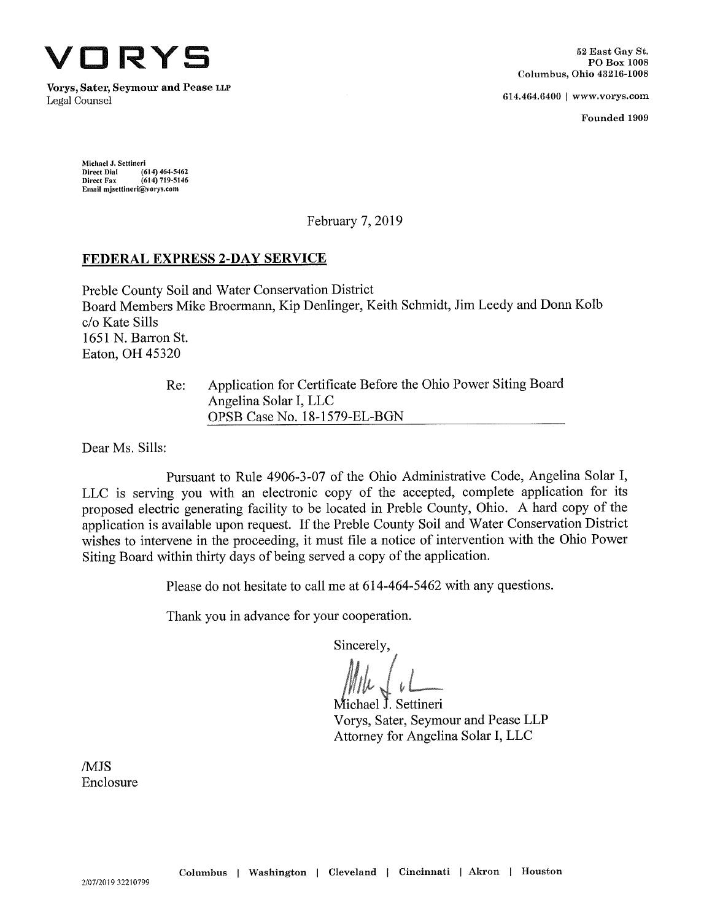

**Vorys, Sater, Seymour and Pease llp** Legal Counsel 614.464.6400 <sup>|</sup> [www.vorys.com](http://www.vorys.com)

Pounded 1909

**Michael J. Settineri Direct Dial Direct Fax Email [mjsettlneri@vorys.com](mailto:mjsettlneri@vorys.com) (614) 464-5462 (614) 719-5146**

February 7, 2019

### **FEDERAL EXPRESS 2-DAY SERVICE**

Preble County Soil and Water Conservation District Board Members Mike Broermann, Kip Denlinger, Keith Schmidt, Jim Leedy and Donn Kolb c/o Kate Sills 1651 N. Barron St. Eaton, OH 45320

> Application for Certificate Before the Ohio Power Siting Board Angelina Solar I, LLC OPSB Case No. 18-1579-EL-BGN Re:

Dear Ms. Sills:

Pursuant to Rule 4906-3-07 of the Ohio Administrative Code, Angelina Solar I, LLC is serving you with an electronic copy of the accepted, complete application for its proposed electric generating facility to be located in Preble County, Ohio. A hard copy of the application is available upon request. If the Preble County Soil and Water Conservation District wishes to intervene in the proceeding, it must file a notice of intervention with the Ohio Power Siting Board within thirty days of being served a copy of the application.

Please do not hesitate to call me at 614-464-5462 with any questions.

Thank you in advance for your cooperation.

Sincerely,

Michael J. Settineri Vorys, Sater, Seymour and Pease LLP Attorney for Angelina Solar I, LLC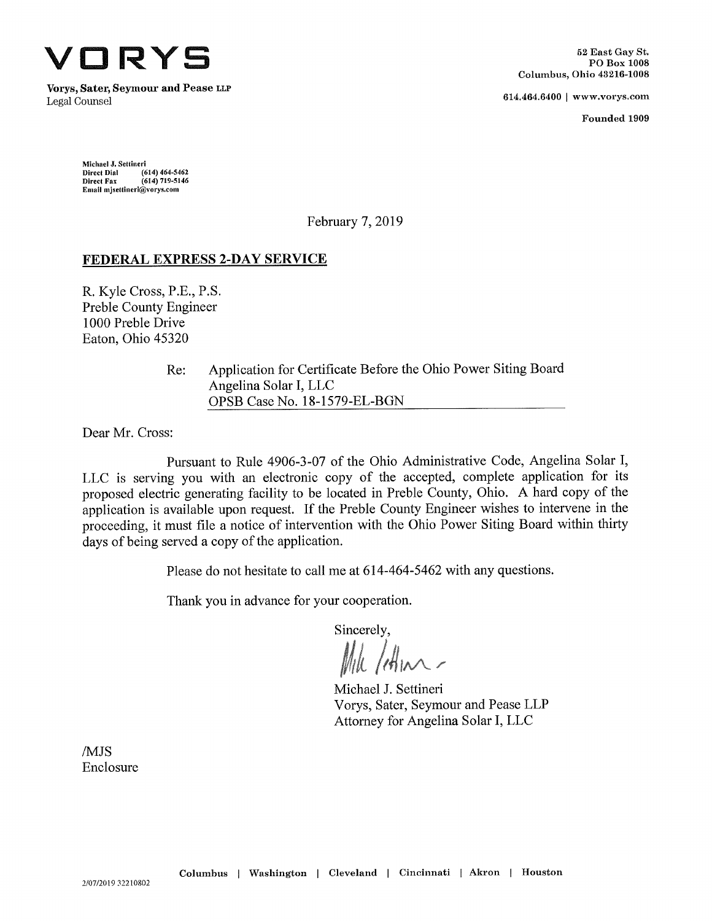

**Vorys, Sater, Seymour and Pease <sup>L</sup>lp** Legal Counsel 614.464.6400 <sup>|</sup> [www.vorys.com](http://www.vorys.com)

Founded 1909

Michael J. Settineri Direct Dial Direct Fax Email [mjsettineri@vorys.com](mailto:mjsettineri@vorys.com) (614) 464-5462 (614) 719-5146

February 7, 2019

# **FEDERAL EXPRESS 2-DAY SERVICE**

R. Kyle Cross, P.E., P.S. Preble County Engineer 1000 Preble Drive Eaton, Ohio 45320

> Application for Certificate Before the Ohio Power Siting Board Angelina Solar I, LLC OPSB Case No. 18-1579-EL-BGN Re:

Dear Mr. Cross:

Pursuant to Rule 4906-3-07 of the Ohio Administrative Code, Angelina Solar I, EEC is serving you with an electronic copy of the accepted, complete application for its proposed electric generating facility to be located in Preble County, Ohio. A hard copy of the application is available upon request. If the Preble County Engineer wishes to intervene in the proceeding, it must file a notice of intervention with the Ohio Power Siting Board within thirty days of being served a copy of the application.

Please do not hesitate to call me at 614-464-5462 with any questions.

Thank you in advance for your cooperation.

Sincerely,

Mile / Am.

Michael J. Settineri Vorys, Sater, Seymour and Pease LLP Attorney for Angelina Solar I, LLC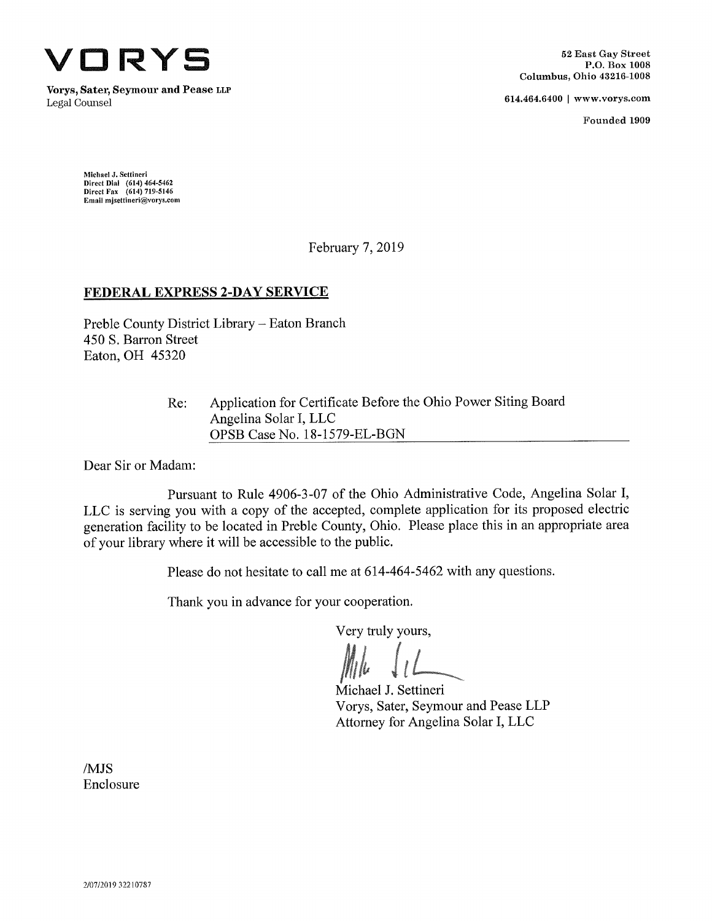

**Vorys, Sater, Seymour and Pease llp** Legal Counsel 614.464.6400 <sup>|</sup> [www.vorys.com](http://www.vorys.com)

Founded 1909

Michael J. Settinerl Direct Dial (614) 464-5462 Direct Fax (614) 719-5146 Email [mjsettlnerl@vorys.com](mailto:mjsettlnerl@vorys.com)

February 7, 2019

# **FEDERAL EXPRESS 2-DAY SERVICE**

Preble County District Library - Eaton Branch 450 S. Barron Street Eaton, OH 45320

> Application for Certificate Before the Ohio Power Siting Board Angelina Solar I, EEC OPSB Case No. 18-1579-EL-BGN Re:

Dear Sir or Madam:

Pursuant to Rule 4906-3-07 of the Ohio Administrative Code, Angelina Solar I, EEC is serving you with a copy of the accepted, complete application for its proposed electric generation facility to be located in Preble County, Ohio. Please place this in an appropriate area of your library where it will be accessible to the public.

Please do not hesitate to call me at 614-464-5462 with any questions.

Thank you in advance for your cooperation.

Very truly yours.

Michael J. Settineri Vorys, Sater, Seymour and Pease LLP Attorney for Angelina Solar I, LLC